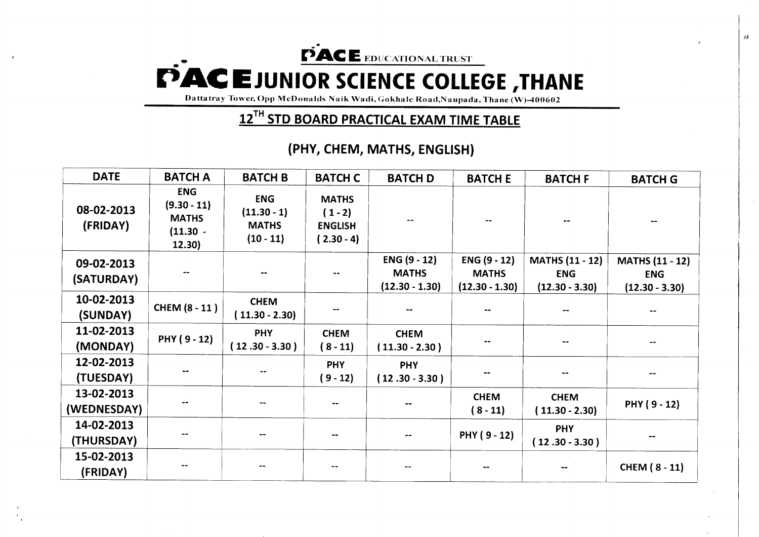## PACE EDUCATIONAL TRUST **EEDUCATIONAL TRUST**<br> **C**CLENCE COLLI **PACE JUNIOR SCIENCE COLLEGE , THANE**<br> **PARAME Dattatray Tower, Opp McDonalds Naik Wadi, Gokhale Road, Naupada, Thane (W)-400602**

**Dattatray Tower, Opp McDonalds Naik Wadi, Gokhale Road.Naupada, Thane (W)-400602** 

## **12™ STD BOARD PRACTICAL EXAM TIME TABLE**

 $\mathcal{L}^{\mathcal{L}}$ 

## **(PHY, CHEM, MATHS, ENGLISH)**

| <b>DATE</b>               | <b>BATCH A</b>                                                      | <b>BATCH B</b>                                             | <b>BATCH C</b>                                              | <b>BATCH D</b>                                   | <b>BATCH E</b>                                   | <b>BATCH F</b>                                           | <b>BATCH G</b>                                           |
|---------------------------|---------------------------------------------------------------------|------------------------------------------------------------|-------------------------------------------------------------|--------------------------------------------------|--------------------------------------------------|----------------------------------------------------------|----------------------------------------------------------|
| 08-02-2013<br>(FRIDAY)    | <b>ENG</b><br>$(9.30 - 11)$<br><b>MATHS</b><br>$(11.30 -$<br>12.30) | <b>ENG</b><br>$(11.30 - 1)$<br><b>MATHS</b><br>$(10 - 11)$ | <b>MATHS</b><br>$(1 - 2)$<br><b>ENGLISH</b><br>$(2.30 - 4)$ |                                                  |                                                  | --                                                       | --                                                       |
| 09-02-2013<br>(SATURDAY)  | --                                                                  | --                                                         |                                                             | ENG (9 - 12)<br><b>MATHS</b><br>$(12.30 - 1.30)$ | ENG (9 - 12)<br><b>MATHS</b><br>$(12.30 - 1.30)$ | <b>MATHS (11 - 12)</b><br><b>ENG</b><br>$(12.30 - 3.30)$ | <b>MATHS (11 - 12)</b><br><b>ENG</b><br>$(12.30 - 3.30)$ |
| 10-02-2013<br>(SUNDAY)    | <b>CHEM (8 - 11)</b>                                                | <b>CHEM</b><br>$(11.30 - 2.30)$                            |                                                             |                                                  |                                                  |                                                          |                                                          |
| 11-02-2013<br>(MONDAY)    | PHY (9 - 12)                                                        | <b>PHY</b><br>$(12.30 - 3.30)$                             | <b>CHEM</b><br>$(8 - 11)$                                   | <b>CHEM</b><br>$(11.30 - 2.30)$                  |                                                  | $\sim$ $\sim$                                            | $\blacksquare$                                           |
| 12-02-2013<br>(TUESDAY)   |                                                                     | --                                                         | <b>PHY</b><br>$(9 - 12)$                                    | <b>PHY</b><br>$(12.30 - 3.30)$                   |                                                  | $\qquad \qquad \blacksquare$                             | --                                                       |
| 13-02-2013<br>(WEDNESDAY) | --                                                                  | --                                                         |                                                             |                                                  | <b>CHEM</b><br>$(8 - 11)$                        | <b>CHEM</b><br>$(11.30 - 2.30)$                          | PHY (9-12)                                               |
| 14-02-2013<br>(THURSDAY)  | $\overline{\phantom{a}}$                                            | $\overline{\phantom{a}}$                                   | $\qquad \qquad$                                             | $\overline{\phantom{a}}$                         | PHY (9 - 12)                                     | <b>PHY</b><br>$(12.30 - 3.30)$                           |                                                          |
| 15-02-2013<br>(FRIDAY)    | $\overline{\phantom{m}}$                                            |                                                            |                                                             |                                                  |                                                  |                                                          | <b>CHEM (8 - 11)</b>                                     |